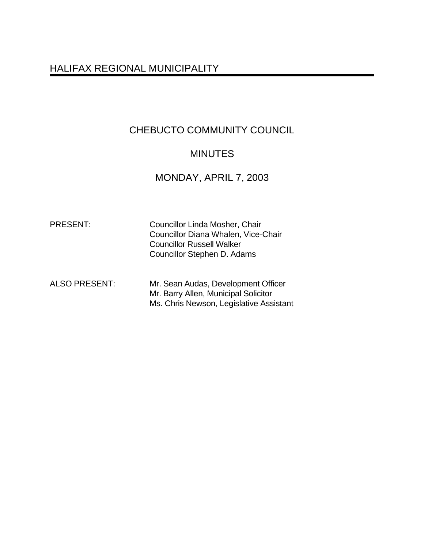# HALIFAX REGIONAL MUNICIPALITY

# CHEBUCTO COMMUNITY COUNCIL

## MINUTES

# MONDAY, APRIL 7, 2003

| <b>PRESENT:</b>      | <b>Councillor Linda Mosher, Chair</b><br>Councillor Diana Whalen, Vice-Chair<br><b>Councillor Russell Walker</b><br>Councillor Stephen D. Adams |
|----------------------|-------------------------------------------------------------------------------------------------------------------------------------------------|
| <b>ALSO PRESENT:</b> | Mr. Sean Audas, Development Officer<br>Mr. Barry Allen, Municipal Solicitor<br>Ms. Chris Newson, Legislative Assistant                          |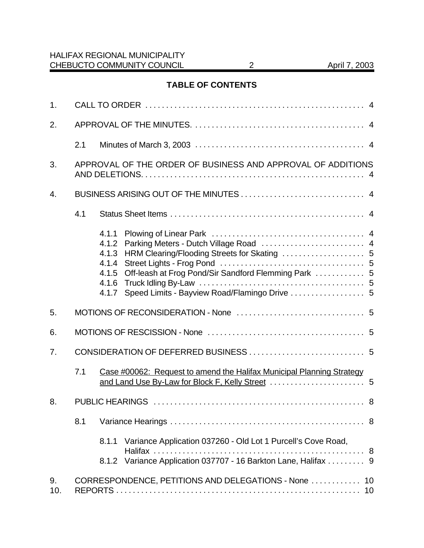## **TABLE OF CONTENTS**

| 1.        |                                                             |                                                             |                                                                                                                                 |  |  |  |
|-----------|-------------------------------------------------------------|-------------------------------------------------------------|---------------------------------------------------------------------------------------------------------------------------------|--|--|--|
| 2.        |                                                             |                                                             |                                                                                                                                 |  |  |  |
|           | 2.1                                                         |                                                             |                                                                                                                                 |  |  |  |
| 3.        | APPROVAL OF THE ORDER OF BUSINESS AND APPROVAL OF ADDITIONS |                                                             |                                                                                                                                 |  |  |  |
| 4.        |                                                             |                                                             |                                                                                                                                 |  |  |  |
|           | 4.1                                                         |                                                             |                                                                                                                                 |  |  |  |
|           |                                                             | 4.1.1<br>4.1.2<br>4.1.3<br>4.1.4<br>4.1.5<br>4.1.6<br>4.1.7 | Off-leash at Frog Pond/Sir Sandford Flemming Park  5<br>Speed Limits - Bayview Road/Flamingo Drive  5                           |  |  |  |
| 5.        |                                                             |                                                             |                                                                                                                                 |  |  |  |
| 6.        |                                                             |                                                             |                                                                                                                                 |  |  |  |
| 7.        |                                                             |                                                             |                                                                                                                                 |  |  |  |
|           | 7.1                                                         |                                                             | Case #00062: Request to amend the Halifax Municipal Planning Strategy                                                           |  |  |  |
| 8.        |                                                             |                                                             |                                                                                                                                 |  |  |  |
|           | 8.1                                                         |                                                             |                                                                                                                                 |  |  |  |
|           |                                                             | 8.1.1                                                       | Variance Application 037260 - Old Lot 1 Purcell's Cove Road,<br>8.1.2 Variance Application 037707 - 16 Barkton Lane, Halifax  9 |  |  |  |
| 9.<br>10. |                                                             |                                                             | CORRESPONDENCE, PETITIONS AND DELEGATIONS - None  10                                                                            |  |  |  |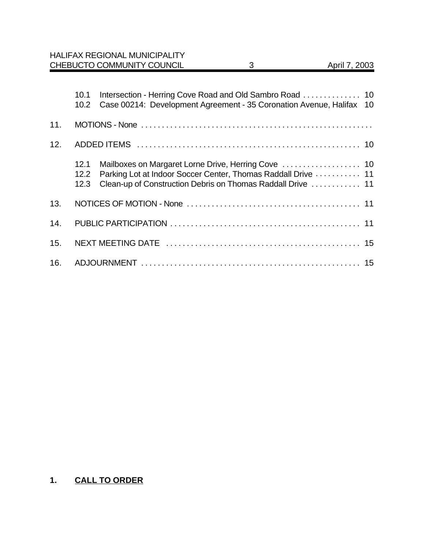|     |                           | <b>HALIFAX REGIONAL MUNICIPALITY</b><br>CHEBUCTO COMMUNITY COUNCIL                                                           | 3 | April 7, 2003 |
|-----|---------------------------|------------------------------------------------------------------------------------------------------------------------------|---|---------------|
|     |                           |                                                                                                                              |   |               |
|     | 10.1<br>10.2 <sub>1</sub> | Case 00214: Development Agreement - 35 Coronation Avenue, Halifax 10                                                         |   |               |
| 11. |                           |                                                                                                                              |   |               |
| 12. |                           |                                                                                                                              |   |               |
|     | 12.1<br>12.2<br>12.3      | Parking Lot at Indoor Soccer Center, Thomas Raddall Drive  11<br>Clean-up of Construction Debris on Thomas Raddall Drive  11 |   |               |
| 13. |                           |                                                                                                                              |   |               |
| 14. |                           |                                                                                                                              |   |               |
| 15. |                           |                                                                                                                              |   |               |
| 16. |                           |                                                                                                                              |   |               |

## **1. CALL TO ORDER**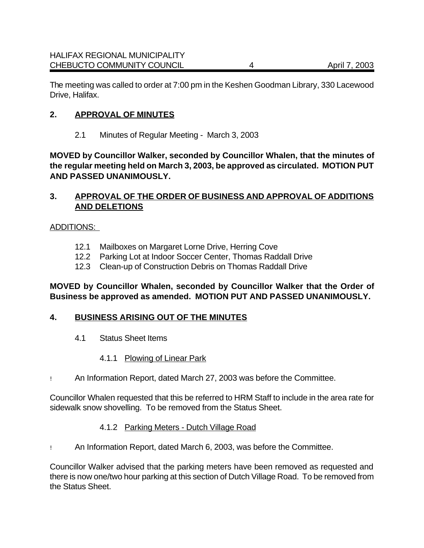The meeting was called to order at 7:00 pm in the Keshen Goodman Library, 330 Lacewood Drive, Halifax.

#### **2. APPROVAL OF MINUTES**

2.1 Minutes of Regular Meeting - March 3, 2003

**MOVED by Councillor Walker, seconded by Councillor Whalen, that the minutes of the regular meeting held on March 3, 2003, be approved as circulated. MOTION PUT AND PASSED UNANIMOUSLY.**

#### **3. APPROVAL OF THE ORDER OF BUSINESS AND APPROVAL OF ADDITIONS AND DELETIONS**

#### ADDITIONS:

- 12.1 Mailboxes on Margaret Lorne Drive, Herring Cove
- 12.2 Parking Lot at Indoor Soccer Center, Thomas Raddall Drive
- 12.3 Clean-up of Construction Debris on Thomas Raddall Drive

#### **MOVED by Councillor Whalen, seconded by Councillor Walker that the Order of Business be approved as amended. MOTION PUT AND PASSED UNANIMOUSLY.**

#### **4. BUSINESS ARISING OUT OF THE MINUTES**

4.1 Status Sheet Items

#### 4.1.1 Plowing of Linear Park

! An Information Report, dated March 27, 2003 was before the Committee.

Councillor Whalen requested that this be referred to HRM Staff to include in the area rate for sidewalk snow shovelling. To be removed from the Status Sheet.

#### 4.1.2 Parking Meters - Dutch Village Road

! An Information Report, dated March 6, 2003, was before the Committee.

Councillor Walker advised that the parking meters have been removed as requested and there is now one/two hour parking at this section of Dutch Village Road. To be removed from the Status Sheet.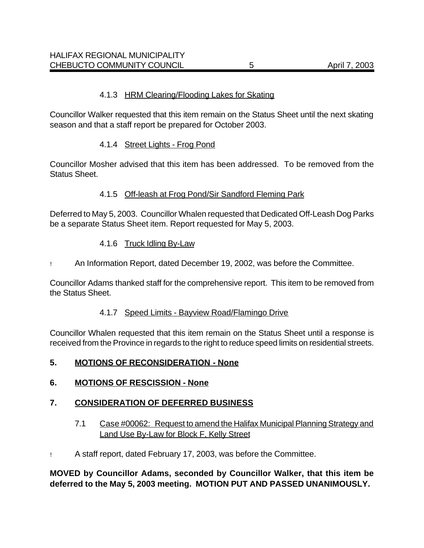Councillor Walker requested that this item remain on the Status Sheet until the next skating season and that a staff report be prepared for October 2003.

#### 4.1.4 Street Lights - Frog Pond

Councillor Mosher advised that this item has been addressed. To be removed from the Status Sheet.

#### 4.1.5 Off-leash at Frog Pond/Sir Sandford Fleming Park

Deferred to May 5, 2003. Councillor Whalen requested that Dedicated Off-Leash Dog Parks be a separate Status Sheet item. Report requested for May 5, 2003.

#### 4.1.6 Truck Idling By-Law

! An Information Report, dated December 19, 2002, was before the Committee.

Councillor Adams thanked staff for the comprehensive report. This item to be removed from the Status Sheet.

#### 4.1.7 Speed Limits - Bayview Road/Flamingo Drive

Councillor Whalen requested that this item remain on the Status Sheet until a response is received from the Province in regards to the right to reduce speed limits on residential streets.

#### **5. MOTIONS OF RECONSIDERATION - None**

#### **6. MOTIONS OF RESCISSION - None**

#### **7. CONSIDERATION OF DEFERRED BUSINESS**

- 7.1 Case #00062: Request to amend the Halifax Municipal Planning Strategy and Land Use By-Law for Block F, Kelly Street
- ! A staff report, dated February 17, 2003, was before the Committee.

**MOVED by Councillor Adams, seconded by Councillor Walker, that this item be deferred to the May 5, 2003 meeting. MOTION PUT AND PASSED UNANIMOUSLY.**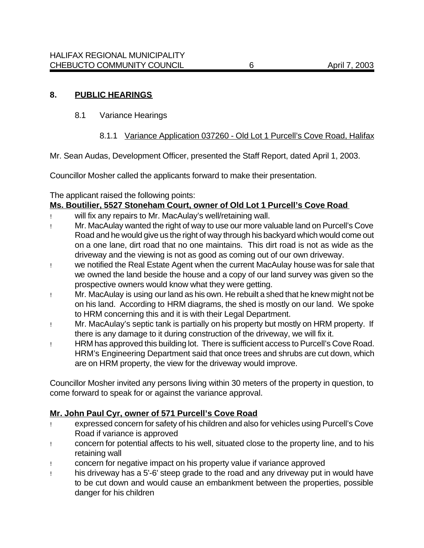#### **8. PUBLIC HEARINGS**

8.1 Variance Hearings

#### 8.1.1 Variance Application 037260 - Old Lot 1 Purcell's Cove Road, Halifax

Mr. Sean Audas, Development Officer, presented the Staff Report, dated April 1, 2003.

Councillor Mosher called the applicants forward to make their presentation.

The applicant raised the following points:

#### **Ms. Boutilier, 5527 Stoneham Court, owner of Old Lot 1 Purcell's Cove Road**

- ! will fix any repairs to Mr. MacAulay's well/retaining wall.
- ! Mr. MacAulay wanted the right of way to use our more valuable land on Purcell's Cove Road and he would give us the right of way through his backyard which would come out on a one lane, dirt road that no one maintains. This dirt road is not as wide as the driveway and the viewing is not as good as coming out of our own driveway.
- ! we notified the Real Estate Agent when the current MacAulay house was for sale that we owned the land beside the house and a copy of our land survey was given so the prospective owners would know what they were getting.
- ! Mr. MacAulay is using our land as his own. He rebuilt a shed that he knew might not be on his land. According to HRM diagrams, the shed is mostly on our land. We spoke to HRM concerning this and it is with their Legal Department.
- ! Mr. MacAulay's septic tank is partially on his property but mostly on HRM property. If there is any damage to it during construction of the driveway, we will fix it.
- ! HRM has approved this building lot. There is sufficient access to Purcell's Cove Road. HRM's Engineering Department said that once trees and shrubs are cut down, which are on HRM property, the view for the driveway would improve.

Councillor Mosher invited any persons living within 30 meters of the property in question, to come forward to speak for or against the variance approval.

#### **Mr. John Paul Cyr, owner of 571 Purcell's Cove Road**

- ! expressed concern for safety of his children and also for vehicles using Purcell's Cove Road if variance is approved
- ! concern for potential affects to his well, situated close to the property line, and to his retaining wall
- ! concern for negative impact on his property value if variance approved
- ! his driveway has a 5'-6' steep grade to the road and any driveway put in would have to be cut down and would cause an embankment between the properties, possible danger for his children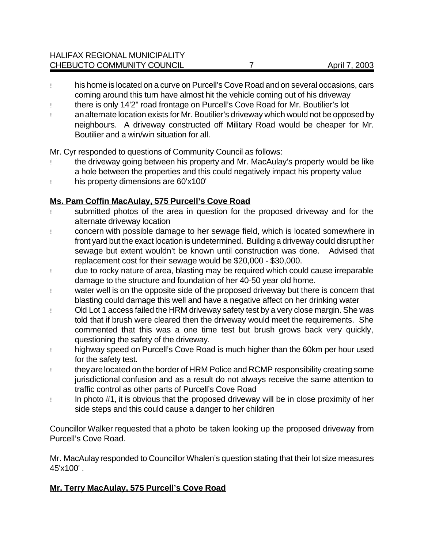- ! his home is located on a curve on Purcell's Cove Road and on several occasions, cars coming around this turn have almost hit the vehicle coming out of his driveway
- ! there is only 14'2" road frontage on Purcell's Cove Road for Mr. Boutilier's lot
- ! an alternate location exists for Mr. Boutilier's driveway which would not be opposed by neighbours. A driveway constructed off Military Road would be cheaper for Mr. Boutilier and a win/win situation for all.

Mr. Cyr responded to questions of Community Council as follows:

- ! the driveway going between his property and Mr. MacAulay's property would be like a hole between the properties and this could negatively impact his property value
- ! his property dimensions are 60'x100'

## **Ms. Pam Coffin MacAulay, 575 Purcell's Cove Road**

- ! submitted photos of the area in question for the proposed driveway and for the alternate driveway location
- ! concern with possible damage to her sewage field, which is located somewhere in front yard but the exact location is undetermined. Building a driveway could disrupt her sewage but extent wouldn't be known until construction was done. Advised that replacement cost for their sewage would be \$20,000 - \$30,000.
- ! due to rocky nature of area, blasting may be required which could cause irreparable damage to the structure and foundation of her 40-50 year old home.
- ! water well is on the opposite side of the proposed driveway but there is concern that blasting could damage this well and have a negative affect on her drinking water
- ! Old Lot 1 access failed the HRM driveway safety test by a very close margin. She was told that if brush were cleared then the driveway would meet the requirements. She commented that this was a one time test but brush grows back very quickly, questioning the safety of the driveway.
- ! highway speed on Purcell's Cove Road is much higher than the 60km per hour used for the safety test.
- ! they arelocated on the border of HRM Police and RCMP responsibility creating some jurisdictional confusion and as a result do not always receive the same attention to traffic control as other parts of Purcell's Cove Road
- ! In photo #1, it is obvious that the proposed driveway will be in close proximity of her side steps and this could cause a danger to her children

Councillor Walker requested that a photo be taken looking up the proposed driveway from Purcell's Cove Road.

Mr. MacAulay responded to Councillor Whalen's question stating that their lot size measures 45'x100' .

## **Mr. Terry MacAulay, 575 Purcell's Cove Road**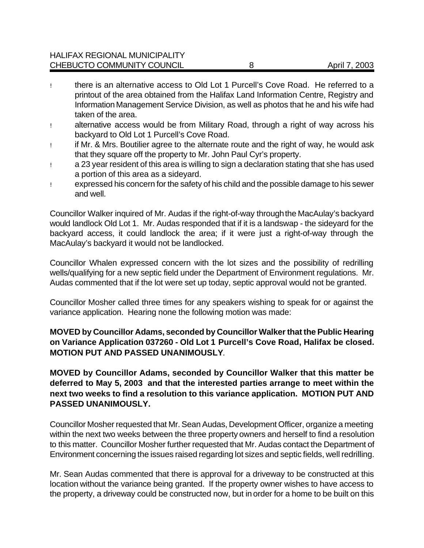- ! there is an alternative access to Old Lot 1 Purcell's Cove Road. He referred to a printout of the area obtained from the Halifax Land Information Centre, Registry and Information Management Service Division, as well as photos that he and his wife had taken of the area.
- ! alternative access would be from Military Road, through a right of way across his backyard to Old Lot 1 Purcell's Cove Road.
- ! if Mr. & Mrs. Boutilier agree to the alternate route and the right of way, he would ask that they square off the property to Mr. John Paul Cyr's property.
- ! a 23 year resident of this area is willing to sign a declaration stating that she has used a portion of this area as a sideyard.
- ! expressed his concern for the safety of his child and the possible damage to his sewer and well.

Councillor Walker inquired of Mr. Audas if the right-of-way through the MacAulay's backyard would landlock Old Lot 1. Mr. Audas responded that if it is a landswap - the sideyard for the backyard access, it could landlock the area; if it were just a right-of-way through the MacAulay's backyard it would not be landlocked.

Councillor Whalen expressed concern with the lot sizes and the possibility of redrilling wells/qualifying for a new septic field under the Department of Environment regulations. Mr. Audas commented that if the lot were set up today, septic approval would not be granted.

Councillor Mosher called three times for any speakers wishing to speak for or against the variance application. Hearing none the following motion was made:

#### **MOVED by Councillor Adams, seconded by Councillor Walker that the Public Hearing on Variance Application 037260 - Old Lot 1 Purcell's Cove Road, Halifax be closed. MOTION PUT AND PASSED UNANIMOUSLY**.

#### **MOVED by Councillor Adams, seconded by Councillor Walker that this matter be deferred to May 5, 2003 and that the interested parties arrange to meet within the next two weeks to find a resolution to this variance application. MOTION PUT AND PASSED UNANIMOUSLY.**

Councillor Mosher requested that Mr. Sean Audas, Development Officer, organize a meeting within the next two weeks between the three property owners and herself to find a resolution to this matter. Councillor Mosher further requested that Mr. Audas contact the Department of Environment concerning the issues raised regarding lot sizes and septic fields, well redrilling.

Mr. Sean Audas commented that there is approval for a driveway to be constructed at this location without the variance being granted. If the property owner wishes to have access to the property, a driveway could be constructed now, but in order for a home to be built on this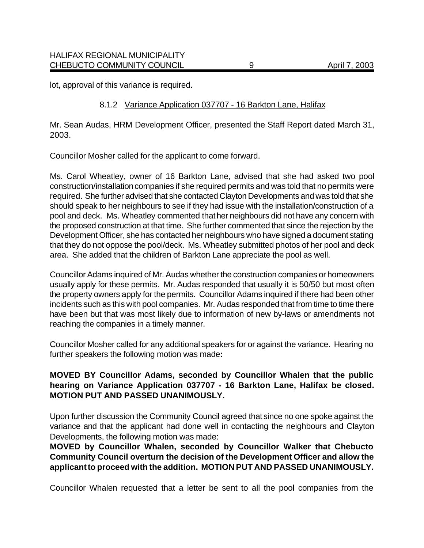lot, approval of this variance is required.

#### 8.1.2 Variance Application 037707 - 16 Barkton Lane, Halifax

Mr. Sean Audas, HRM Development Officer, presented the Staff Report dated March 31, 2003.

Councillor Mosher called for the applicant to come forward.

Ms. Carol Wheatley, owner of 16 Barkton Lane, advised that she had asked two pool construction/installation companies if she required permits and was told that no permits were required. She further advised that she contacted Clayton Developments and was told that she should speak to her neighbours to see if they had issue with the installation/construction of a pool and deck. Ms. Wheatley commented that her neighbours did not have any concern with the proposed construction at that time. She further commented that since the rejection by the Development Officer, she has contacted her neighbours who have signed a document stating that they do not oppose the pool/deck. Ms. Wheatley submitted photos of her pool and deck area. She added that the children of Barkton Lane appreciate the pool as well.

Councillor Adams inquired of Mr. Audas whether the construction companies or homeowners usually apply for these permits. Mr. Audas responded that usually it is 50/50 but most often the property owners apply for the permits. Councillor Adams inquired if there had been other incidents such as this with pool companies. Mr. Audas responded that from time to time there have been but that was most likely due to information of new by-laws or amendments not reaching the companies in a timely manner.

Councillor Mosher called for any additional speakers for or against the variance. Hearing no further speakers the following motion was made**:**

#### **MOVED BY Councillor Adams, seconded by Councillor Whalen that the public hearing on Variance Application 037707 - 16 Barkton Lane, Halifax be closed. MOTION PUT AND PASSED UNANIMOUSLY.**

Upon further discussion the Community Council agreed that since no one spoke against the variance and that the applicant had done well in contacting the neighbours and Clayton Developments, the following motion was made:

**MOVED by Councillor Whalen, seconded by Councillor Walker that Chebucto Community Council overturn the decision of the Development Officer and allow the applicant to proceed with the addition. MOTION PUT AND PASSED UNANIMOUSLY.**

Councillor Whalen requested that a letter be sent to all the pool companies from the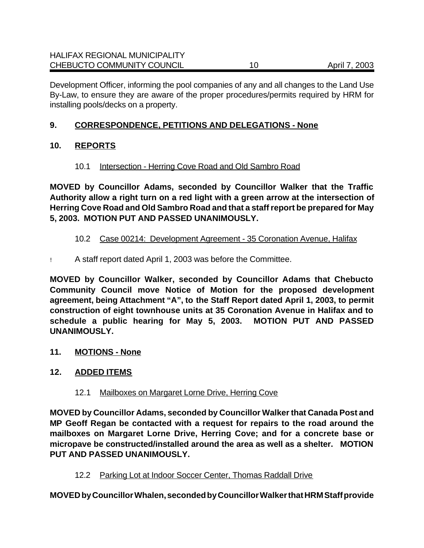Development Officer, informing the pool companies of any and all changes to the Land Use By-Law, to ensure they are aware of the proper procedures/permits required by HRM for installing pools/decks on a property.

#### **9. CORRESPONDENCE, PETITIONS AND DELEGATIONS - None**

## **10. REPORTS**

## 10.1 Intersection - Herring Cove Road and Old Sambro Road

**MOVED by Councillor Adams, seconded by Councillor Walker that the Traffic Authority allow a right turn on a red light with a green arrow at the intersection of Herring Cove Road and Old Sambro Road and that a staff report be prepared for May 5, 2003. MOTION PUT AND PASSED UNANIMOUSLY.**

## 10.2 Case 00214: Development Agreement - 35 Coronation Avenue, Halifax

! A staff report dated April 1, 2003 was before the Committee.

**MOVED by Councillor Walker, seconded by Councillor Adams that Chebucto Community Council move Notice of Motion for the proposed development agreement, being Attachment "A", to the Staff Report dated April 1, 2003, to permit construction of eight townhouse units at 35 Coronation Avenue in Halifax and to schedule a public hearing for May 5, 2003. MOTION PUT AND PASSED UNANIMOUSLY.**

#### **11. MOTIONS - None**

## **12. ADDED ITEMS**

12.1 Mailboxes on Margaret Lorne Drive, Herring Cove

**MOVED by Councillor Adams, seconded by Councillor Walker that Canada Post and MP Geoff Regan be contacted with a request for repairs to the road around the mailboxes on Margaret Lorne Drive, Herring Cove; and for a concrete base or micropave be constructed/installed around the area as well as a shelter. MOTION PUT AND PASSED UNANIMOUSLY.**

12.2 Parking Lot at Indoor Soccer Center, Thomas Raddall Drive

**MOVED by Councillor Whalen, seconded by Councillor Walker that HRM Staff provide**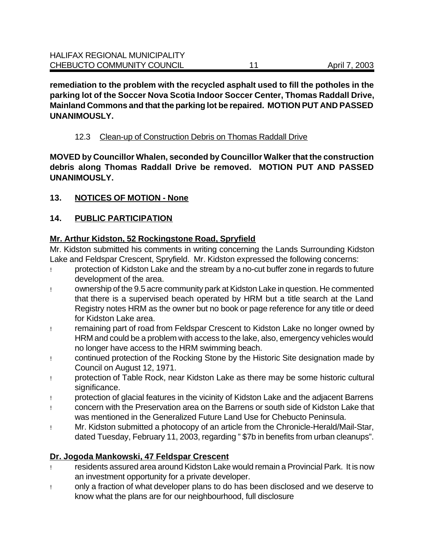**remediation to the problem with the recycled asphalt used to fill the potholes in the parking lot of the Soccer Nova Scotia Indoor Soccer Center, Thomas Raddall Drive, Mainland Commons and that the parking lot be repaired. MOTION PUT AND PASSED UNANIMOUSLY.**

#### 12.3 Clean-up of Construction Debris on Thomas Raddall Drive

**MOVED by Councillor Whalen, seconded by Councillor Walker that the construction debris along Thomas Raddall Drive be removed. MOTION PUT AND PASSED UNANIMOUSLY.**

#### **13. NOTICES OF MOTION - None**

## **14. PUBLIC PARTICIPATION**

## **Mr. Arthur Kidston, 52 Rockingstone Road, Spryfield**

Mr. Kidston submitted his comments in writing concerning the Lands Surrounding Kidston Lake and Feldspar Crescent, Spryfield. Mr. Kidston expressed the following concerns:

- ! protection of Kidston Lake and the stream by a no-cut buffer zone in regards to future development of the area.
- ! ownership of the 9.5 acre community park at Kidston Lake in question. He commented that there is a supervised beach operated by HRM but a title search at the Land Registry notes HRM as the owner but no book or page reference for any title or deed for Kidston Lake area.
- ! remaining part of road from Feldspar Crescent to Kidston Lake no longer owned by HRM and could be a problem with access to the lake, also, emergency vehicles would no longer have access to the HRM swimming beach.
- ! continued protection of the Rocking Stone by the Historic Site designation made by Council on August 12, 1971.
- ! protection of Table Rock, near Kidston Lake as there may be some historic cultural significance.
- ! protection of glacial features in the vicinity of Kidston Lake and the adjacent Barrens
- ! concern with the Preservation area on the Barrens or south side of Kidston Lake that was mentioned in the Generalized Future Land Use for Chebucto Peninsula.
- ! Mr. Kidston submitted a photocopy of an article from the Chronicle-Herald/Mail-Star, dated Tuesday, February 11, 2003, regarding " \$7b in benefits from urban cleanups".

## **Dr. Jogoda Mankowski, 47 Feldspar Crescent**

- ! residents assured area around Kidston Lake would remain a Provincial Park. It is now an investment opportunity for a private developer.
- ! only a fraction of what developer plans to do has been disclosed and we deserve to know what the plans are for our neighbourhood, full disclosure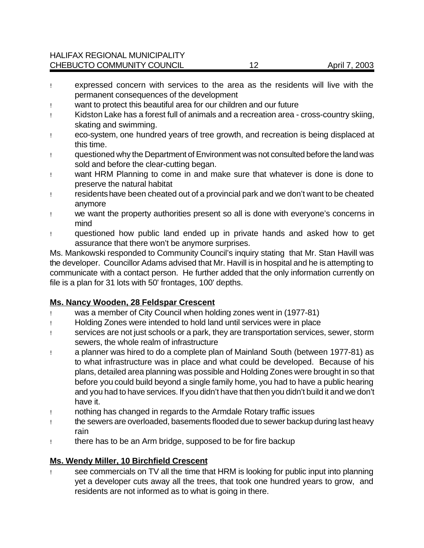- ! expressed concern with services to the area as the residents will live with the permanent consequences of the development
- ! want to protect this beautiful area for our children and our future
- ! Kidston Lake has a forest full of animals and a recreation area cross-country skiing, skating and swimming.
- ! eco-system, one hundred years of tree growth, and recreation is being displaced at this time.
- ! questioned why the Department of Environment was not consulted before the land was sold and before the clear-cutting began.
- ! want HRM Planning to come in and make sure that whatever is done is done to preserve the natural habitat
- ! residentshave been cheated out of a provincial park and we don't want to be cheated anymore
- ! we want the property authorities present so all is done with everyone's concerns in mind
- ! questioned how public land ended up in private hands and asked how to get assurance that there won't be anymore surprises.

Ms. Mankowski responded to Community Council's inquiry stating that Mr. Stan Havill was the developer. Councillor Adams advised that Mr. Havill is in hospital and he is attempting to communicate with a contact person. He further added that the only information currently on file is a plan for 31 lots with 50' frontages, 100' depths.

#### **Ms. Nancy Wooden, 28 Feldspar Crescent**

- ! was a member of City Council when holding zones went in (1977-81)
- ! Holding Zones were intended to hold land until services were in place
- ! services are not just schools or a park, they are transportation services, sewer, storm sewers, the whole realm of infrastructure
- ! a planner was hired to do a complete plan of Mainland South (between 1977-81) as to what infrastructure was in place and what could be developed. Because of his plans, detailed area planning was possible and Holding Zones were brought in so that before you could build beyond a single family home, you had to have a public hearing and you had to have services. If you didn't have that then you didn't build it and we don't have it.
- ! nothing has changed in regards to the Armdale Rotary traffic issues
- ! the sewers are overloaded, basements flooded due to sewer backup during last heavy rain
- ! there has to be an Arm bridge, supposed to be for fire backup

#### **Ms. Wendy Miller, 10 Birchfield Crescent**

! see commercials on TV all the time that HRM is looking for public input into planning yet a developer cuts away all the trees, that took one hundred years to grow, and residents are not informed as to what is going in there.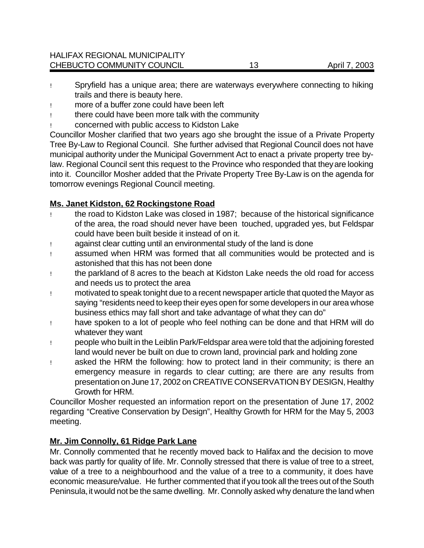- ! Spryfield has a unique area; there are waterways everywhere connecting to hiking trails and there is beauty here.
- ! more of a buffer zone could have been left
- ! there could have been more talk with the community
- ! concerned with public access to Kidston Lake

Councillor Mosher clarified that two years ago she brought the issue of a Private Property Tree By-Law to Regional Council. She further advised that Regional Council does not have municipal authority under the Municipal Government Act to enact a private property tree bylaw. Regional Council sent this request to the Province who responded that they are looking into it. Councillor Mosher added that the Private Property Tree By-Law is on the agenda for tomorrow evenings Regional Council meeting.

## **Ms. Janet Kidston, 62 Rockingstone Road**

- ! the road to Kidston Lake was closed in 1987; because of the historical significance of the area, the road should never have been touched, upgraded yes, but Feldspar could have been built beside it instead of on it.
- ! against clear cutting until an environmental study of the land is done
- ! assumed when HRM was formed that all communities would be protected and is astonished that this has not been done
- ! the parkland of 8 acres to the beach at Kidston Lake needs the old road for access and needs us to protect the area
- ! motivated to speak tonight due to a recent newspaper article that quoted the Mayor as saying "residents need to keep their eyes open for some developers in our area whose business ethics may fall short and take advantage of what they can do"
- ! have spoken to a lot of people who feel nothing can be done and that HRM will do whatever they want
- ! people who built in the Leiblin Park/Feldspar area were told that the adjoining forested land would never be built on due to crown land, provincial park and holding zone
- ! asked the HRM the following: how to protect land in their community; is there an emergency measure in regards to clear cutting; are there are any results from presentation on June 17, 2002 on CREATIVE CONSERVATION BY DESIGN, Healthy Growth for HRM.

Councillor Mosher requested an information report on the presentation of June 17, 2002 regarding "Creative Conservation by Design", Healthy Growth for HRM for the May 5, 2003 meeting.

## **Mr. Jim Connolly, 61 Ridge Park Lane**

Mr. Connolly commented that he recently moved back to Halifax and the decision to move back was partly for quality of life. Mr. Connolly stressed that there is value of tree to a street, value of a tree to a neighbourhood and the value of a tree to a community, it does have economic measure/value. He further commented that if you took all the trees out of the South Peninsula, it would not be the same dwelling. Mr. Connolly asked why denature the land when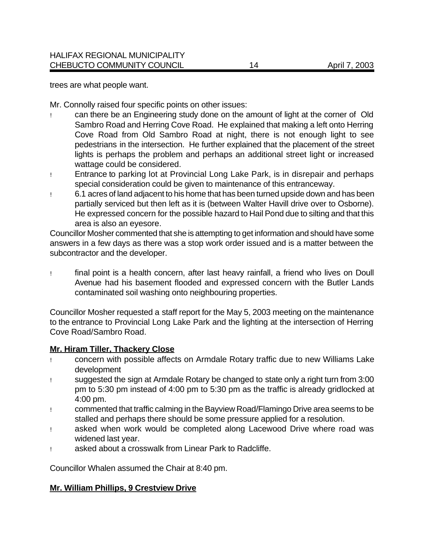trees are what people want.

Mr. Connolly raised four specific points on other issues:

- ! can there be an Engineering study done on the amount of light at the corner of Old Sambro Road and Herring Cove Road. He explained that making a left onto Herring Cove Road from Old Sambro Road at night, there is not enough light to see pedestrians in the intersection. He further explained that the placement of the street lights is perhaps the problem and perhaps an additional street light or increased wattage could be considered.
- ! Entrance to parking lot at Provincial Long Lake Park, is in disrepair and perhaps special consideration could be given to maintenance of this entranceway.
- ! 6.1 acres of land adjacent to his home that has been turned upside down and has been partially serviced but then left as it is (between Walter Havill drive over to Osborne). He expressed concern for the possible hazard to Hail Pond due to silting and that this area is also an eyesore.

Councillor Mosher commented that she is attempting to get information and should have some answers in a few days as there was a stop work order issued and is a matter between the subcontractor and the developer.

! final point is a health concern, after last heavy rainfall, a friend who lives on Doull Avenue had his basement flooded and expressed concern with the Butler Lands contaminated soil washing onto neighbouring properties.

Councillor Mosher requested a staff report for the May 5, 2003 meeting on the maintenance to the entrance to Provincial Long Lake Park and the lighting at the intersection of Herring Cove Road/Sambro Road.

#### **Mr. Hiram Tiller, Thackery Close**

- ! concern with possible affects on Armdale Rotary traffic due to new Williams Lake development
- ! suggested the sign at Armdale Rotary be changed to state only a right turn from 3:00 pm to 5:30 pm instead of 4:00 pm to 5:30 pm as the traffic is already gridlocked at 4:00 pm.
- ! commented that traffic calming in the Bayview Road/Flamingo Drive area seems to be stalled and perhaps there should be some pressure applied for a resolution.
- ! asked when work would be completed along Lacewood Drive where road was widened last year.
- ! asked about a crosswalk from Linear Park to Radcliffe.

Councillor Whalen assumed the Chair at 8:40 pm.

#### **Mr. William Phillips, 9 Crestview Drive**